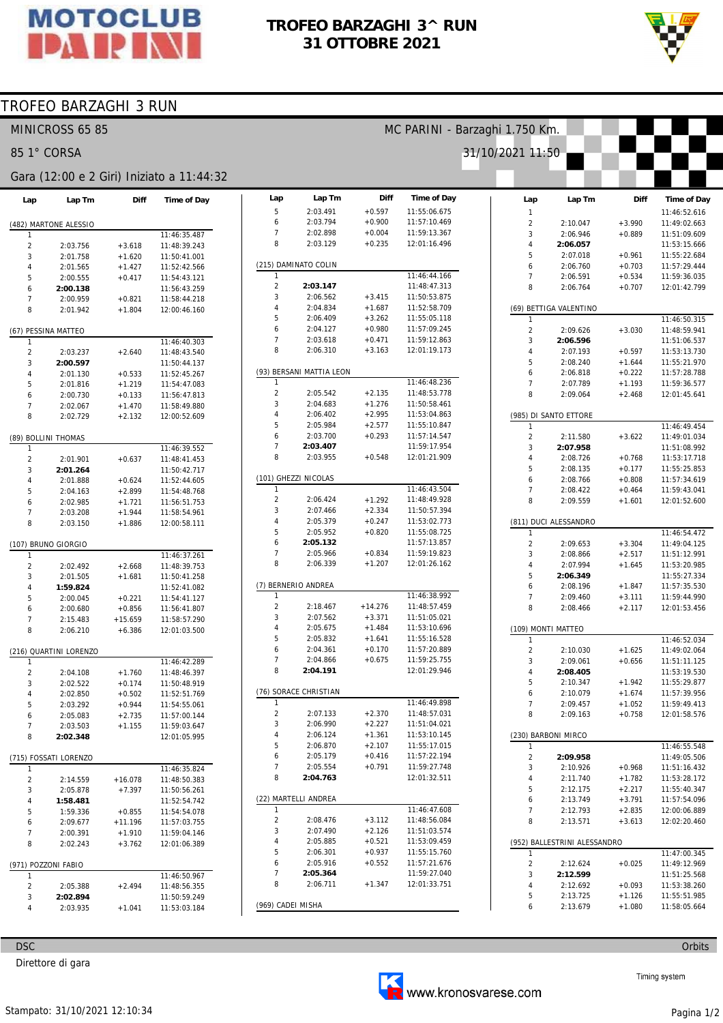

## TROFEO BARZAGHI 3^ RUN 31 OTTOBRE 2021



## TROFEO BARZAGHI 3 RUN

| MINICROSS 65 85     |                        |                       |                                           |                                | MC PARINI - Barzaghi 1.750 Km. |                      |                                    |                            |                              |                      |                              |  |  |
|---------------------|------------------------|-----------------------|-------------------------------------------|--------------------------------|--------------------------------|----------------------|------------------------------------|----------------------------|------------------------------|----------------------|------------------------------|--|--|
|                     | 85 1° CORSA            |                       |                                           |                                |                                |                      |                                    | 31/10/2021 11:50           |                              |                      |                              |  |  |
|                     |                        |                       | Gara (12:00 e 2 Giri) Iniziato a 11:44:32 |                                |                                |                      |                                    |                            |                              |                      |                              |  |  |
| Lap                 | Lap Tm                 | Diff                  | Time of Day                               | Lap<br>5                       | Lap Tm<br>2:03.491             | Diff<br>$+0.597$     | <b>Time of Day</b><br>11:55:06.675 | Lap                        | Lap Tm                       | Diff                 | Time of Day                  |  |  |
|                     | (482) MARTONE ALESSIO  |                       |                                           | 6                              | 2:03.794                       | $+0.900$             | 11:57:10.469                       | $\mathbf{1}$<br>$\sqrt{2}$ | 2:10.047                     | $+3.990$             | 11:46:52.616<br>11:49:02.663 |  |  |
| -1                  |                        |                       | 11:46:35.487                              | $\overline{7}$                 | 2:02.898                       | $+0.004$             | 11:59:13.367                       | 3                          | 2:06.946                     | $+0.889$             | 11:51:09.609                 |  |  |
| $\overline{2}$      | 2:03.756               | $+3.618$              | 11:48:39.243                              | 8                              | 2:03.129                       | $+0.235$             | 12:01:16.496                       | $\overline{4}$             | 2:06.057                     |                      | 11:53:15.666                 |  |  |
| 3                   | 2:01.758               | $+1.620$              | 11:50:41.001                              |                                |                                |                      |                                    | 5                          | 2:07.018                     | $+0.961$             | 11:55:22.684                 |  |  |
| $\overline{4}$      | 2:01.565               | $+1.427$              | 11:52:42.566                              |                                | (215) DAMINATO COLIN           |                      |                                    | 6                          | 2:06.760                     | $+0.703$             | 11:57:29.444                 |  |  |
| 5                   | 2:00.555               | $+0.417$              | 11:54:43.121                              | 1                              |                                |                      | 11:46:44.166                       | $\overline{7}$             | 2:06.591                     | $+0.534$             | 11:59:36.035                 |  |  |
| 6                   | 2:00.138               |                       | 11:56:43.259                              | $\overline{\mathbf{c}}$        | 2:03.147                       |                      | 11:48:47.313                       | 8                          | 2:06.764                     | $+0.707$             | 12:01:42.799                 |  |  |
| $\overline{7}$      | 2:00.959               | $+0.821$              | 11:58:44.218                              | 3<br>4                         | 2:06.562                       | $+3.415$             | 11:50:53.875                       |                            |                              |                      |                              |  |  |
| 8                   | 2:01.942               | $+1.804$              | 12:00:46.160                              | 5                              | 2:04.834<br>2:06.409           | $+1.687$<br>$+3.262$ | 11:52:58.709<br>11:55:05.118       |                            | (69) BETTIGA VALENTINO       |                      | 11:46:50.315                 |  |  |
|                     |                        |                       |                                           | 6                              | 2:04.127                       | $+0.980$             | 11:57:09.245                       | $\overline{2}$             | 2:09.626                     | $+3.030$             | 11:48:59.941                 |  |  |
| $\mathbf{1}$        | (67) PESSINA MATTEO    |                       | 11:46:40.303                              | $\overline{7}$                 | 2:03.618                       | $+0.471$             | 11:59:12.863                       | 3                          | 2:06.596                     |                      | 11:51:06.537                 |  |  |
| $\overline{c}$      | 2:03.237               | $+2.640$              | 11:48:43.540                              | 8                              | 2:06.310                       | $+3.163$             | 12:01:19.173                       | $\overline{4}$             | 2:07.193                     | $+0.597$             | 11:53:13.730                 |  |  |
| 3                   | 2:00.597               |                       | 11:50:44.137                              |                                |                                |                      |                                    | 5                          | 2:08.240                     | $+1.644$             | 11:55:21.970                 |  |  |
| $\overline{4}$      | 2:01.130               | $+0.533$              | 11:52:45.267                              |                                | (93) BERSANI MATTIA LEON       |                      |                                    | 6                          | 2:06.818                     | $+0.222$             | 11:57:28.788                 |  |  |
| 5                   | 2:01.816               | $+1.219$              | 11:54:47.083                              | $\mathbf{1}$                   |                                |                      | 11:46:48.236                       | 7                          | 2:07.789                     | $+1.193$             | 11:59:36.577                 |  |  |
| 6                   | 2:00.730               | $+0.133$              | 11:56:47.813                              | $\overline{2}$                 | 2:05.542                       | $+2.135$             | 11:48:53.778                       | 8                          | 2:09.064                     | $+2.468$             | 12:01:45.641                 |  |  |
| $\overline{7}$      | 2:02.067               | $+1.470$              | 11:58:49.880                              | 3                              | 2:04.683                       | $+1.276$             | 11:50:58.461                       |                            |                              |                      |                              |  |  |
| 8                   | 2:02.729               | $+2.132$              | 12:00:52.609                              | $\overline{4}$                 | 2:06.402                       | $+2.995$             | 11:53:04.863                       |                            | (985) DI SANTO ETTORE        |                      |                              |  |  |
|                     |                        |                       |                                           | 5                              | 2:05.984                       | $+2.577$             | 11:55:10.847                       | 1                          |                              |                      | 11:46:49.454                 |  |  |
|                     | (89) BOLLINI THOMAS    |                       |                                           | 6<br>$\overline{7}$            | 2:03.700<br>2:03.407           | $+0.293$             | 11:57:14.547<br>11:59:17.954       | $\overline{2}$             | 2:11.580                     | $+3.622$             | 11:49:01.034                 |  |  |
| -1                  |                        |                       | 11:46:39.552                              | 8                              | 2:03.955                       | $+0.548$             | 12:01:21.909                       | 3<br>4                     | 2:07.958                     |                      | 11:51:08.992<br>11:53:17.718 |  |  |
| $\overline{2}$      | 2:01.901               | $+0.637$              | 11:48:41.453                              |                                |                                |                      |                                    | 5                          | 2:08.726<br>2:08.135         | $+0.768$<br>$+0.177$ | 11:55:25.853                 |  |  |
| 3<br>4              | 2:01.264<br>2:01.888   | $+0.624$              | 11:50:42.717<br>11:52:44.605              |                                | (101) GHEZZI NICOLAS           |                      |                                    | 6                          | 2:08.766                     | $+0.808$             | 11:57:34.619                 |  |  |
| 5                   | 2:04.163               | $+2.899$              | 11:54:48.768                              | $\mathbf{1}$                   |                                |                      | 11:46:43.504                       | 7                          | 2:08.422                     | $+0.464$             | 11:59:43.041                 |  |  |
| 6                   | 2:02.985               | $+1.721$              | 11:56:51.753                              | 2                              | 2:06.424                       | $+1.292$             | 11:48:49.928                       | 8                          | 2:09.559                     | $+1.601$             | 12:01:52.600                 |  |  |
| $\overline{7}$      | 2:03.208               | $+1.944$              | 11:58:54.961                              | 3                              | 2:07.466                       | $+2.334$             | 11:50:57.394                       |                            |                              |                      |                              |  |  |
| 8                   | 2:03.150               | $+1.886$              | 12:00:58.111                              | 4                              | 2:05.379                       | $+0.247$             | 11:53:02.773                       |                            | (811) DUCI ALESSANDRO        |                      |                              |  |  |
|                     |                        |                       |                                           | 5                              | 2:05.952                       | $+0.820$             | 11:55:08.725                       | $\mathbf{1}$               |                              |                      | 11:46:54.472                 |  |  |
|                     | (107) BRUNO GIORGIO    |                       |                                           | 6                              | 2:05.132                       |                      | 11:57:13.857                       | $\overline{2}$             | 2:09.653                     | $+3.304$             | 11:49:04.125                 |  |  |
| 1                   |                        |                       | 11:46:37.261                              | $\overline{7}$                 | 2:05.966                       | $+0.834$             | 11:59:19.823                       | 3                          | 2:08.866                     | $+2.517$             | 11:51:12.991                 |  |  |
| $\overline{c}$      | 2:02.492               | $+2.668$              | 11:48:39.753                              | 8                              | 2:06.339                       | $+1.207$             | 12:01:26.162                       | 4                          | 2:07.994                     | $+1.645$             | 11:53:20.985                 |  |  |
| 3                   | 2:01.505               | $+1.681$              | 11:50:41.258                              |                                |                                |                      |                                    | 5                          | 2:06.349                     |                      | 11:55:27.334                 |  |  |
| 4                   | 1:59.824               |                       | 11:52:41.082                              |                                | (7) BERNERIO ANDREA            |                      |                                    | 6                          | 2:08.196                     | $+1.847$             | 11:57:35.530                 |  |  |
| 5                   | 2:00.045               | $+0.221$              | 11:54:41.127                              | $\mathbf{1}$<br>$\overline{2}$ | 2:18.467                       | $+14.276$            | 11:46:38.992<br>11:48:57.459       | $\overline{7}$<br>8        | 2:09.460                     | $+3.111$             | 11:59:44.990                 |  |  |
| 6                   | 2:00.680               | $+0.856$              | 11:56:41.807                              | 3                              | 2:07.562                       | $+3.371$             | 11:51:05.021                       |                            | 2:08.466                     | $+2.117$             | 12:01:53.456                 |  |  |
| $\overline{7}$<br>8 | 2:15.483               | $+15.659$             | 11:58:57.290                              | 4                              | 2:05.675                       | $+1.484$             | 11:53:10.696                       |                            | (109) MONTI MATTEO           |                      |                              |  |  |
|                     | 2:06.210               | $+6.386$              | 12:01:03.500                              | 5                              | 2:05.832                       | $+1.641$             | 11:55:16.528                       | -1                         |                              |                      | 11:46:52.034                 |  |  |
|                     | (216) QUARTINI LORENZO |                       |                                           | 6                              | 2:04.361                       | $+0.170$             | 11:57:20.889                       | $\overline{2}$             | 2:10.030                     | $+1.625$             | 11:49:02.064                 |  |  |
|                     |                        |                       | 11:46:42.289                              |                                | 2:04.866                       | $+0.675$             | 11:59:25.755                       | 3                          | 2:09.061                     | $+0.656$             | 11:51:11.125                 |  |  |
| $\overline{c}$      | 2:04.108               | $+1.760$              | 11:48:46.397                              | 8                              | 2:04.191                       |                      | 12:01:29.946                       | 4                          | 2:08.405                     |                      | 11:53:19.530                 |  |  |
| 3                   | 2:02.522               | $+0.174$              | 11:50:48.919                              |                                |                                |                      |                                    | 5                          | 2:10.347                     | $+1.942$             | 11:55:29.877                 |  |  |
|                     | 2:02.850               | $+0.502$              | 11:52:51.769                              |                                | (76) SORACE CHRISTIAN          |                      |                                    | 6                          | 2:10.079                     | $+1.674$             | 11:57:39.956                 |  |  |
| 5                   | 2:03.292               | $+0.944$              | 11:54:55.061                              | $\mathbf{1}$                   |                                |                      | 11:46:49.898                       | 7                          | 2:09.457                     | $+1.052$             | 11:59:49.413                 |  |  |
| 6                   | 2:05.083               | $+2.735$              | 11:57:00.144                              | $\overline{a}$                 | 2:07.133                       | $+2.370$             | 11:48:57.031                       | 8                          | 2:09.163                     | $+0.758$             | 12:01:58.576                 |  |  |
| 7                   | 2:03.503               | $+1.155$              | 11:59:03.647                              | 3                              | 2:06.990                       | $+2.227$             | 11:51:04.021                       |                            |                              |                      |                              |  |  |
| 8                   | 2:02.348               |                       | 12:01:05.995                              | 4                              | 2:06.124                       | $+1.361$             | 11:53:10.145                       |                            | (230) BARBONI MIRCO          |                      |                              |  |  |
|                     |                        |                       |                                           | 5                              | 2:06.870                       | $+2.107$             | 11:55:17.015                       | $\mathbf{1}$               |                              |                      | 11:46:55.548                 |  |  |
|                     | (715) FOSSATI LORENZO  |                       |                                           | 6<br>$\overline{7}$            | 2:05.179<br>2:05.554           | $+0.416$<br>$+0.791$ | 11:57:22.194<br>11:59:27.748       | $\overline{2}$             | 2:09.958                     |                      | 11:49:05.506                 |  |  |
|                     |                        |                       | 11:46:35.824                              | 8                              | 2:04.763                       |                      | 12:01:32.511                       | 3<br>4                     | 2:10.926<br>2:11.740         | $+0.968$             | 11:51:16.432<br>11:53:28.172 |  |  |
| $\overline{2}$<br>3 | 2:14.559               | $+16.078$<br>$+7.397$ | 11:48:50.383<br>11:50:56.261              |                                |                                |                      |                                    | 5                          | 2:12.175                     | $+1.782$<br>$+2.217$ | 11:55:40.347                 |  |  |
| 4                   | 2:05.878<br>1:58.481   |                       | 11:52:54.742                              |                                | (22) MARTELLI ANDREA           |                      |                                    | 6                          | 2:13.749                     | $+3.791$             | 11:57:54.096                 |  |  |
| 5                   | 1:59.336               | $+0.855$              | 11:54:54.078                              | 1                              |                                |                      | 11:46:47.608                       | 7                          | 2:12.793                     | $+2.835$             | 12:00:06.889                 |  |  |
| 6                   | 2:09.677               | $+11.196$             | 11:57:03.755                              | 2                              | 2:08.476                       | $+3.112$             | 11:48:56.084                       | 8                          | 2:13.571                     | $+3.613$             | 12:02:20.460                 |  |  |
| 7                   | 2:00.391               | $+1.910$              | 11:59:04.146                              | 3                              | 2:07.490                       | $+2.126$             | 11:51:03.574                       |                            |                              |                      |                              |  |  |
| 8                   | 2:02.243               | $+3.762$              | 12:01:06.389                              | 4                              | 2:05.885                       | $+0.521$             | 11:53:09.459                       |                            | (952) BALLESTRINI ALESSANDRO |                      |                              |  |  |
|                     |                        |                       |                                           | 5                              | 2:06.301                       | $+0.937$             | 11:55:15.760                       | -1                         |                              |                      | 11:47:00.345                 |  |  |
|                     | (971) POZZONI FABIO    |                       |                                           | 6                              | 2:05.916                       | $+0.552$             | 11:57:21.676                       | $\overline{a}$             | 2:12.624                     | $+0.025$             | 11:49:12.969                 |  |  |
| $\mathbf{1}$        |                        |                       | 11:46:50.967                              | $\overline{7}$                 | 2:05.364                       |                      | 11:59:27.040                       | 3                          | 2:12.599                     |                      | 11:51:25.568                 |  |  |
| $\overline{2}$      | 2:05.388               | $+2.494$              | 11:48:56.355                              | 8                              | 2:06.711                       | $+1.347$             | 12:01:33.751                       | 4                          | 2:12.692                     | $+0.093$             | 11:53:38.260                 |  |  |
| 3                   | 2:02.894               |                       | 11:50:59.249                              |                                |                                |                      |                                    | 5                          | 2:13.725                     | $+1.126$             | 11:55:51.985                 |  |  |
| $\overline{4}$      | 2:03.935               | $+1.041$              | 11:53:03.184                              |                                | (969) CADEI MISHA              |                      |                                    | 6                          | 2:13.679                     | $+1.080$             | 11:58:05.664                 |  |  |
|                     |                        |                       |                                           |                                |                                |                      |                                    |                            |                              |                      |                              |  |  |

Direttore di gara



Timing system

Orbits